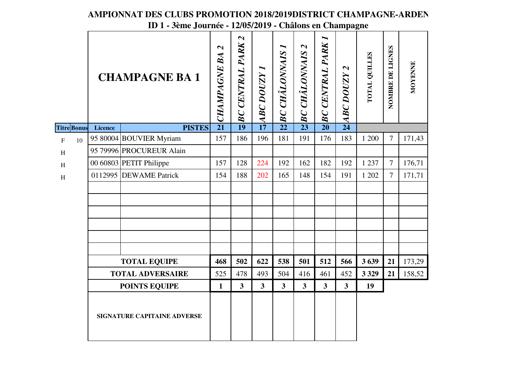|              |            | <b>CHAMPAGNE BA 1</b><br><b>PISTES</b><br>Licence |                          | $\boldsymbol{\mathsf{N}}$<br>BA<br>CHAMPAGNE | $\boldsymbol{\mathcal{L}}$<br><b>BC CENTRAL PARK</b> | <b>ABC DOUZY</b> | <b>BC CHÂLONNAIS</b> | $\boldsymbol{\mathsf{c}}$<br><b>BC CHÂLONNAIS</b> | ►<br>BC CENTRAL PARK | $\boldsymbol{\mathsf{a}}$<br><b>ABC DOUZY</b> | <b>TOTAL QUILLES</b> | NOMBRE DE LIGNES | MOYENNE |
|--------------|------------|---------------------------------------------------|--------------------------|----------------------------------------------|------------------------------------------------------|------------------|----------------------|---------------------------------------------------|----------------------|-----------------------------------------------|----------------------|------------------|---------|
|              | TitreBonus |                                                   |                          | $\overline{21}$                              | $\overline{19}$                                      | $\overline{17}$  | $\overline{22}$      | $\overline{23}$                                   | $\overline{20}$      | $\overline{24}$                               |                      |                  |         |
| $\mathbf F$  | 10         |                                                   | 95 80004 BOUVIER Myriam  | 157                                          | 186                                                  | 196              | 181                  | 191                                               | 176                  | 183                                           | 1 200                | $\overline{7}$   | 171,43  |
| H            |            |                                                   | 95 79996 PROCUREUR Alain |                                              |                                                      |                  |                      |                                                   |                      |                                               |                      |                  |         |
| H            |            |                                                   | 00 60803 PETIT Philippe  | 157                                          | 128                                                  | 224              | 192                  | 162                                               | 182                  | 192                                           | 1 2 3 7              | $\tau$           | 176,71  |
| $\, {\rm H}$ |            |                                                   | 0112995 DEWAME Patrick   | 154                                          | 188                                                  | 202              | 165                  | 148                                               | 154                  | 191                                           | 1 202                | $\overline{7}$   | 171,71  |
|              |            |                                                   |                          |                                              |                                                      |                  |                      |                                                   |                      |                                               |                      |                  |         |
|              |            |                                                   |                          |                                              |                                                      |                  |                      |                                                   |                      |                                               |                      |                  |         |
|              |            |                                                   |                          |                                              |                                                      |                  |                      |                                                   |                      |                                               |                      |                  |         |
|              |            |                                                   |                          |                                              |                                                      |                  |                      |                                                   |                      |                                               |                      |                  |         |
|              |            |                                                   |                          |                                              |                                                      |                  |                      |                                                   |                      |                                               |                      |                  |         |
|              |            |                                                   |                          |                                              |                                                      |                  |                      |                                                   |                      |                                               |                      |                  |         |
|              |            |                                                   | <b>TOTAL EQUIPE</b>      | 468                                          | 502                                                  | 622              | 538                  | 501                                               | 512                  | 566                                           | 3639                 | 21               | 173,29  |
|              |            |                                                   | <b>TOTAL ADVERSAIRE</b>  | 525                                          | 478                                                  | 493              | 504                  | 416                                               | 461                  | 452                                           | 3 3 2 9              | 21               | 158,52  |
|              |            | <b>POINTS EQUIPE</b>                              |                          |                                              | $\overline{3}$                                       | $\overline{3}$   | $\overline{3}$       | $\overline{3}$                                    | $\overline{3}$       | $\mathbf{3}$                                  | 19                   |                  |         |
|              |            | SIGNATURE CAPITAINE ADVERSE                       |                          |                                              |                                                      |                  |                      |                                                   |                      |                                               |                      |                  |         |

**AMPIONNAT DES CLUBS PROMOTION 2018/2019DISTRICT CHAMPAGNE-ARDEN ID 1 - 3ème Journée - 12/05/2019 - Châlons en Champagne**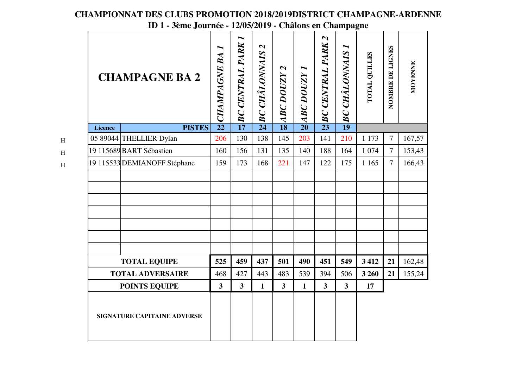|         |                                    |                     |                             |                        |                    |                  |                                                      | r o                |               |                  |         |
|---------|------------------------------------|---------------------|-----------------------------|------------------------|--------------------|------------------|------------------------------------------------------|--------------------|---------------|------------------|---------|
|         | <b>CHAMPAGNE BA 2</b>              | <b>CHAMPAGNE BA</b> | ➤<br><b>BC CENTRAL PARK</b> | <b>BC CHÂLONNAIS 2</b> | <b>ABC DOUZY 2</b> | <b>ABC DOUZY</b> | $\boldsymbol{\mathcal{L}}$<br><b>BC CENTRAL PARK</b> | ➤<br>BC CHÂLONNAIS | TOTAL QUILLES | NOMBRE DE LIGNES | MOYENNE |
| Licence | <b>PISTES</b>                      | $\overline{22}$     | $\overline{17}$             | $\overline{24}$        | $\overline{18}$    | $\overline{20}$  | $\overline{23}$                                      |                    |               |                  |         |
|         | 05 89044 THELLIER Dylan            | 206                 | 130                         | 138                    | 145                | 203              | 141                                                  | 210                | 1 1 7 3       | $\tau$           | 167,57  |
|         | 19 115689 BART Sébastien           | 160                 | 156                         | 131                    | 135                | 140              | 188                                                  | 164                | 1 0 7 4       | $\overline{7}$   | 153,43  |
|         | 19 115533 DEMIANOFF Stéphane       | 159                 | 173                         | 168                    | 221                | 147              | 122                                                  | 175                | 1 1 6 5       | $\overline{7}$   | 166,43  |
|         |                                    |                     |                             |                        |                    |                  |                                                      |                    |               |                  |         |
|         |                                    |                     |                             |                        |                    |                  |                                                      |                    |               |                  |         |
|         |                                    |                     |                             |                        |                    |                  |                                                      |                    |               |                  |         |
|         |                                    |                     |                             |                        |                    |                  |                                                      |                    |               |                  |         |
|         |                                    |                     |                             |                        |                    |                  |                                                      |                    |               |                  |         |
|         | <b>TOTAL EQUIPE</b>                | 525                 | 459                         | 437                    | 501                | 490              | 451                                                  | 549                | 3 4 1 2       | 21               | 162,48  |
|         | <b>TOTAL ADVERSAIRE</b>            | 468                 | 427                         | 443                    | 483                | 539              | 394                                                  | 506                | 3 260         | 21               | 155,24  |
|         | <b>POINTS EQUIPE</b>               | $3^{\circ}$         | 3 <sup>1</sup>              | $\mathbf{1}$           | $\overline{3}$     | $\mathbf{1}$     | $\overline{3}$                                       | 3 <sup>1</sup>     | 17            |                  |         |
|         | <b>SIGNATURE CAPITAINE ADVERSE</b> |                     |                             |                        |                    |                  |                                                      |                    |               |                  |         |

**CHAMPIONNAT DES CLUBS PROMOTION 2018/2019DISTRICT CHAMPAGNE-ARDENNEID 1 - 3ème Journée - 12/05/2019 - Châlons en Champagne**

HH

H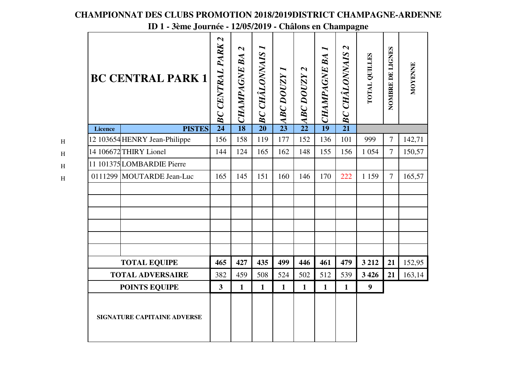|                | <b>Come Journee</b>                |                                                      | $\mathbf{L}$ $\mathbf{U}$ $\mathbf{U}$ $\mathbf{V}$ $\mathbf{L}$ |                           |                  | Undong un Undinpugny                               |                     |                                                   |                  |                  |         |
|----------------|------------------------------------|------------------------------------------------------|------------------------------------------------------------------|---------------------------|------------------|----------------------------------------------------|---------------------|---------------------------------------------------|------------------|------------------|---------|
|                | <b>BC CENTRAL PARK 1</b>           | $\boldsymbol{\mathcal{L}}$<br><b>BC CENTRAL PARK</b> | $\boldsymbol{\mathsf{N}}$<br><b>CHAMPAGNE BA</b>                 | ➤<br><b>BC CHÂLONNAIS</b> | <b>ABC DOUZY</b> | $\boldsymbol{\mathsf{\Omega}}$<br><b>ABC DOUZY</b> | <b>CHAMPAGNE BA</b> | $\boldsymbol{\mathsf{c}}$<br><b>BC CHÂLONNAIS</b> | TOTAL QUILLES    | NOMBRE DE LIGNES | MOYENNE |
| <b>Licence</b> | <b>PISTES</b>                      | $\overline{24}$                                      | $\overline{18}$                                                  | $\overline{20}$           | $\overline{23}$  | $\overline{22}$                                    | $\overline{19}$     | $\overline{21}$                                   |                  |                  |         |
|                | 12 103654 HENRY Jean-Philippe      | 156                                                  | 158                                                              | 119                       | 177              | 152                                                | 136                 | 101                                               | 999              | $\overline{7}$   | 142,71  |
|                | 14 106672 THIRY Lionel             | 144                                                  | 124                                                              | 165                       | 162              | 148                                                | 155                 | 156                                               | 1 0 5 4          | $\overline{7}$   | 150,57  |
|                | 11 101375 LOMBARDIE Pierre         |                                                      |                                                                  |                           |                  |                                                    |                     |                                                   |                  |                  |         |
|                | 0111299 MOUTARDE Jean-Luc          | 165                                                  | 145                                                              | 151                       | 160              | 146                                                | 170                 | 222                                               | 1 1 5 9          | $\overline{7}$   | 165,57  |
|                |                                    |                                                      |                                                                  |                           |                  |                                                    |                     |                                                   |                  |                  |         |
|                |                                    |                                                      |                                                                  |                           |                  |                                                    |                     |                                                   |                  |                  |         |
|                |                                    |                                                      |                                                                  |                           |                  |                                                    |                     |                                                   |                  |                  |         |
|                |                                    |                                                      |                                                                  |                           |                  |                                                    |                     |                                                   |                  |                  |         |
|                |                                    |                                                      |                                                                  |                           |                  |                                                    |                     |                                                   |                  |                  |         |
|                |                                    |                                                      |                                                                  |                           |                  |                                                    |                     |                                                   |                  |                  |         |
|                | <b>TOTAL EQUIPE</b>                | 465                                                  | 427                                                              | 435                       | 499              | 446                                                | 461                 | 479                                               | 3 2 1 2          | 21               | 152,95  |
|                | <b>TOTAL ADVERSAIRE</b>            | 382                                                  | 459                                                              | 508                       | 524              | 502                                                | 512                 | 539                                               | 3 4 2 6          | 21               | 163,14  |
|                | <b>POINTS EQUIPE</b>               | 3                                                    | $\mathbf{1}$                                                     | $\mathbf{1}$              | $\mathbf{1}$     | $\mathbf{1}$                                       | $\mathbf{1}$        | $\mathbf{1}$                                      | $\boldsymbol{9}$ |                  |         |
|                | <b>SIGNATURE CAPITAINE ADVERSE</b> |                                                      |                                                                  |                           |                  |                                                    |                     |                                                   |                  |                  |         |

H

H

H

**CHAMPIONNAT DES CLUBS PROMOTION 2018/2019DISTRICT CHAMPAGNE-ARDENNE**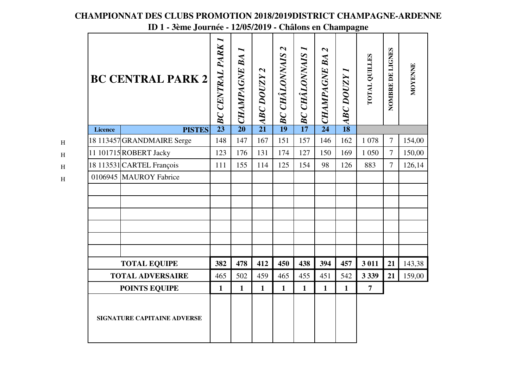|                |                                    |                       |                             |                                         | $\sim$ 3 cmc Journee $\sim$ 12/03/2012 $\sim$ Charons on Champagne |                            |                                                  |                    |                |                  |         |
|----------------|------------------------------------|-----------------------|-----------------------------|-----------------------------------------|--------------------------------------------------------------------|----------------------------|--------------------------------------------------|--------------------|----------------|------------------|---------|
|                | <b>BC CENTRAL PARK 2</b>           | ►<br>NBC CENTRAL PARK | ►<br>BA<br><b>CHAMPAGNE</b> | $\boldsymbol{\mathcal{L}}$<br>ABC DOUZY | $\boldsymbol{\mathcal{C}}$<br><b>BC CHÂLONNAIS</b>                 | NO CHÂLONNAIS <sub>1</sub> | $\boldsymbol{\mathsf{z}}$<br><b>CHAMPAGNE BA</b> | <b>ABC DOUZY 1</b> | TOTAL QUILLES  | NOMBRE DE LIGNES | MOYENNE |
| <b>Licence</b> | <b>PISTES</b>                      |                       | $\overline{20}$             | $\overline{21}$                         | $\overline{19}$                                                    |                            | $\overline{24}$                                  | $\overline{18}$    |                |                  |         |
|                | 18 113457 GRANDMAIRE Serge         | 148                   | 147                         | 167                                     | 151                                                                | 157                        | 146                                              | 162                | 1078           | $\overline{7}$   | 154,00  |
|                | 11 101715 ROBERT Jacky             | 123                   | 176                         | 131                                     | 174                                                                | 127                        | 150                                              | 169                | 1 0 5 0        | $\overline{7}$   | 150,00  |
|                | 18 113531 CARTEL François          | 111                   | 155                         | 114                                     | 125                                                                | 154                        | 98                                               | 126                | 883            | $\overline{7}$   | 126,14  |
|                | 0106945 MAUROY Fabrice             |                       |                             |                                         |                                                                    |                            |                                                  |                    |                |                  |         |
|                |                                    |                       |                             |                                         |                                                                    |                            |                                                  |                    |                |                  |         |
|                |                                    |                       |                             |                                         |                                                                    |                            |                                                  |                    |                |                  |         |
|                |                                    |                       |                             |                                         |                                                                    |                            |                                                  |                    |                |                  |         |
|                |                                    |                       |                             |                                         |                                                                    |                            |                                                  |                    |                |                  |         |
|                |                                    |                       |                             |                                         |                                                                    |                            |                                                  |                    |                |                  |         |
|                |                                    |                       |                             |                                         |                                                                    |                            |                                                  |                    |                |                  |         |
|                | <b>TOTAL EQUIPE</b>                | 382                   | 478                         | 412                                     | 450                                                                | 438                        | 394                                              | 457                | 3 0 1 1        | 21               | 143,38  |
|                | <b>TOTAL ADVERSAIRE</b>            | 465                   | 502                         | 459                                     | 465                                                                | 455                        | 451                                              | 542                | 3 3 3 9        | 21               | 159,00  |
|                | <b>POINTS EQUIPE</b>               | $\mathbf{1}$          | $\mathbf{1}$                | $\mathbf{1}$                            | $\mathbf{1}$                                                       | $\mathbf{1}$               | $\mathbf{1}$                                     | $\mathbf{1}$       | $\overline{7}$ |                  |         |
|                | <b>SIGNATURE CAPITAINE ADVERSE</b> |                       |                             |                                         |                                                                    |                            |                                                  |                    |                |                  |         |

## **CHAMPIONNAT DES CLUBS PROMOTION 2018/2019DISTRICT CHAMPAGNE-ARDENNE**

**ID 1 - 3ème Journée - 12/05/2019 - Châlons en Champagne**

HH

H

H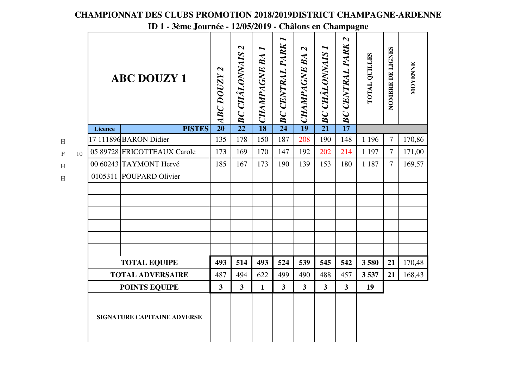|                           |    | <b>ABC DOUZY 1</b>                 |                             | $\sim$<br><b>ABC DOUZY</b> | $\boldsymbol{\mathcal{L}}$<br><b>CHÂLONNAIS</b><br>BC | ►<br><b>CHAMPAGNE BA</b> | ➤<br><b>BC CENTRAL PARK</b> | $\boldsymbol{\mathsf{c}}$<br><b>CHAMPAGNE BA</b> | ►<br><b>BC CHÂLONNAIS</b> | $\boldsymbol{\sim}$<br><b>BC CENTRAL PARK</b> | TOTAL QUILLES | NOMBRE DE LIGNES | MOYENNE |
|---------------------------|----|------------------------------------|-----------------------------|----------------------------|-------------------------------------------------------|--------------------------|-----------------------------|--------------------------------------------------|---------------------------|-----------------------------------------------|---------------|------------------|---------|
|                           |    | <b>Licence</b>                     | <b>PISTES</b>               | $\overline{20}$            | $\overline{22}$                                       | $\overline{18}$          | $\overline{24}$             | $\overline{19}$                                  | $\overline{21}$           | $\overline{17}$                               |               |                  |         |
| H                         |    |                                    | 17 111896 BARON Didier      | 135                        | 178                                                   | 150                      | 187                         | 208                                              | 190                       | 148                                           | 1 1 9 6       | $\overline{7}$   | 170,86  |
| $\mathbf F$               | 10 |                                    | 05 89728 FRICOTTEAUX Carole | 173                        | 169                                                   | 170                      | 147                         | 192                                              | 202                       | 214                                           | 1 1 9 7       | $\overline{7}$   | 171,00  |
| $\boldsymbol{\mathrm{H}}$ |    |                                    | 00 60243 TAYMONT Hervé      | 185                        | 167                                                   | 173                      | 190                         | 139                                              | 153                       | 180                                           | 1 1 8 7       | $\overline{7}$   | 169,57  |
| H                         |    |                                    | 0105311 POUPARD Olivier     |                            |                                                       |                          |                             |                                                  |                           |                                               |               |                  |         |
|                           |    |                                    |                             |                            |                                                       |                          |                             |                                                  |                           |                                               |               |                  |         |
|                           |    |                                    |                             |                            |                                                       |                          |                             |                                                  |                           |                                               |               |                  |         |
|                           |    |                                    |                             |                            |                                                       |                          |                             |                                                  |                           |                                               |               |                  |         |
|                           |    |                                    |                             |                            |                                                       |                          |                             |                                                  |                           |                                               |               |                  |         |
|                           |    |                                    |                             |                            |                                                       |                          |                             |                                                  |                           |                                               |               |                  |         |
|                           |    |                                    |                             |                            |                                                       |                          |                             |                                                  |                           |                                               |               |                  |         |
|                           |    |                                    |                             |                            |                                                       |                          |                             |                                                  |                           |                                               |               |                  |         |
|                           |    |                                    | <b>TOTAL EQUIPE</b>         | 493                        | 514                                                   | 493                      | 524                         | 539                                              | 545                       | 542                                           | 3580          | 21               | 170,48  |
|                           |    |                                    | <b>TOTAL ADVERSAIRE</b>     | 487                        | 494                                                   | 622                      | 499                         | 490                                              | 488                       | 457                                           | 3537          | 21               | 168,43  |
|                           |    | <b>POINTS EQUIPE</b>               |                             | 3 <sup>1</sup>             | $\overline{\mathbf{3}}$                               | $\mathbf{1}$             | $\overline{\mathbf{3}}$     | $\overline{\mathbf{3}}$                          | $\overline{\mathbf{3}}$   | 3 <sup>1</sup>                                | 19            |                  |         |
|                           |    | <b>SIGNATURE CAPITAINE ADVERSE</b> |                             |                            |                                                       |                          |                             |                                                  |                           |                                               |               |                  |         |

## **CHAMPIONNAT DES CLUBS PROMOTION 2018/2019DISTRICT CHAMPAGNE-ARDENNE**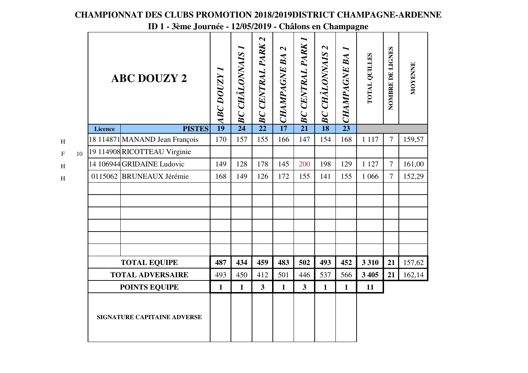|             |    |                                    |                                |                    |                              |                                                     |                                                  |                             |                        |                     | ъ             |                  |         |
|-------------|----|------------------------------------|--------------------------------|--------------------|------------------------------|-----------------------------------------------------|--------------------------------------------------|-----------------------------|------------------------|---------------------|---------------|------------------|---------|
|             |    | <b>ABC DOUZY 2</b>                 |                                | <b>ABC DOUZY 1</b> | 宝<br><b>CHÂLONNAIS</b><br>BC | $\boldsymbol{\mathsf{c}}$<br><b>BC CENTRAL PARK</b> | $\boldsymbol{\mathsf{c}}$<br><b>CHAMPAGNE BA</b> | ►<br><b>BC CENTRAL PARK</b> | <b>BC CHÂLONNAIS 2</b> | <b>CHAMPAGNE BA</b> | TOTAL QUILLES | NOMBRE DE LIGNES | MOYENNE |
|             |    | Licence                            | <b>PISTES</b>                  | $\overline{19}$    | $\overline{24}$              | $\overline{22}$                                     | $\overline{17}$                                  | $\overline{21}$             | $\overline{18}$        | $\frac{1}{23}$      |               |                  |         |
| H           |    |                                    | 18 114871 MANAND Jean François | 170                | 157                          | 155                                                 | 166                                              | 147                         | 154                    | 168                 | 1 1 1 7       | $\overline{7}$   | 159,57  |
| $\mathbf F$ | 10 |                                    | 19 114908 RICOTTEAU Virginie   |                    |                              |                                                     |                                                  |                             |                        |                     |               |                  |         |
| H           |    |                                    | 14 106944 GRIDAINE Ludovic     | 149                | 128                          | 178                                                 | 145                                              | 200                         | 198                    | 129                 | 1 1 2 7       | $\overline{7}$   | 161,00  |
| H           |    |                                    | 0115062 BRUNEAUX Jérémie       | 168                | 149                          | 126                                                 | 172                                              | 155                         | 141                    | 155                 | 1 0 6 6       | $\overline{7}$   | 152,29  |
|             |    |                                    |                                |                    |                              |                                                     |                                                  |                             |                        |                     |               |                  |         |
|             |    |                                    |                                |                    |                              |                                                     |                                                  |                             |                        |                     |               |                  |         |
|             |    |                                    |                                |                    |                              |                                                     |                                                  |                             |                        |                     |               |                  |         |
|             |    |                                    |                                |                    |                              |                                                     |                                                  |                             |                        |                     |               |                  |         |
|             |    |                                    |                                |                    |                              |                                                     |                                                  |                             |                        |                     |               |                  |         |
|             |    |                                    |                                |                    |                              |                                                     |                                                  |                             |                        |                     |               |                  |         |
|             |    |                                    | <b>TOTAL EQUIPE</b>            | 487                | 434                          | 459                                                 | 483                                              | 502                         | 493                    | 452                 | 3 3 1 0       | 21               | 157,62  |
|             |    |                                    | <b>TOTAL ADVERSAIRE</b>        | 493                | 450                          | 412                                                 | 501                                              | 446                         | 537                    | 566                 | 3 4 0 5       | 21               | 162,14  |
|             |    | <b>POINTS EQUIPE</b>               |                                | $\mathbf{1}$       | $\mathbf{1}$                 | $\overline{\mathbf{3}}$                             | $\mathbf{1}$                                     | $\overline{\mathbf{3}}$     | $\mathbf{1}$           | $\mathbf{1}$        | 11            |                  |         |
|             |    | <b>SIGNATURE CAPITAINE ADVERSE</b> |                                |                    |                              |                                                     |                                                  |                             |                        |                     |               |                  |         |

**CHAMPIONNAT DES CLUBS PROMOTION 2018/2019DISTRICT CHAMPAGNE-ARDENNEID 1 - 3ème Journée - 12/05/2019 - Châlons en Champagne**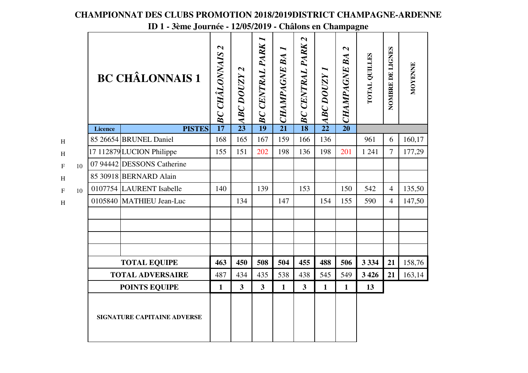|   |    |                                    |                            |                                                   |                    |                             |                 |                                                   |                  |                                                  | Ð             |                  |         |
|---|----|------------------------------------|----------------------------|---------------------------------------------------|--------------------|-----------------------------|-----------------|---------------------------------------------------|------------------|--------------------------------------------------|---------------|------------------|---------|
|   |    |                                    | <b>BC CHÂLONNAIS 1</b>     | $\boldsymbol{\mathsf{c}}$<br><b>BC CHÂLONNAIS</b> | <b>ABC DOUZY 2</b> | ➤<br><b>BC CENTRAL PARK</b> | CHAMPAGNE BA    | $\boldsymbol{\mathsf{\Omega}}$<br>BC CENTRAL PARK | <b>ABC DOUZY</b> | $\boldsymbol{\mathsf{c}}$<br><b>CHAMPAGNE BA</b> | TOTAL QUILLES | NOMBRE DE LIGNES | MOYENNE |
|   |    | <b>Licence</b>                     | <b>PISTES</b>              | $\overline{17}$                                   | $\overline{23}$    | $\overline{19}$             | $\overline{21}$ | $\overline{18}$                                   | $\overline{22}$  | $\overline{20}$                                  |               |                  |         |
| H |    |                                    | 85 26654 BRUNEL Daniel     | 168                                               | 165                | 167                         | 159             | 166                                               | 136              |                                                  | 961           | 6                | 160,17  |
| H |    |                                    | 17 112879 LUCION Philippe  | 155                                               | 151                | 202                         | 198             | 136                                               | 198              | 201                                              | 1 2 4 1       | $\overline{7}$   | 177,29  |
| F | 10 |                                    | 07 94442 DESSONS Catherine |                                                   |                    |                             |                 |                                                   |                  |                                                  |               |                  |         |
| H |    |                                    | 85 30918 BERNARD Alain     |                                                   |                    |                             |                 |                                                   |                  |                                                  |               |                  |         |
| F | 10 |                                    | 0107754 LAURENT Isabelle   | 140                                               |                    | 139                         |                 | 153                                               |                  | 150                                              | 542           | $\overline{4}$   | 135,50  |
| Η |    |                                    | 0105840 MATHIEU Jean-Luc   |                                                   | 134                |                             | 147             |                                                   | 154              | 155                                              | 590           | $\overline{4}$   | 147,50  |
|   |    |                                    |                            |                                                   |                    |                             |                 |                                                   |                  |                                                  |               |                  |         |
|   |    |                                    |                            |                                                   |                    |                             |                 |                                                   |                  |                                                  |               |                  |         |
|   |    |                                    |                            |                                                   |                    |                             |                 |                                                   |                  |                                                  |               |                  |         |
|   |    |                                    |                            |                                                   |                    |                             |                 |                                                   |                  |                                                  |               |                  |         |
|   |    |                                    | <b>TOTAL EQUIPE</b>        | 463                                               | 450                | 508                         | 504             | 455                                               | 488              | 506                                              | 3 3 3 4       | 21               | 158,76  |
|   |    |                                    | <b>TOTAL ADVERSAIRE</b>    | 487                                               | 434                | 435                         | 538             | 438                                               | 545              | 549                                              | 3 4 2 6       | 21               | 163,14  |
|   |    | <b>POINTS EQUIPE</b>               |                            |                                                   | $\overline{3}$     | $\overline{3}$              | $\mathbf{1}$    | $\mathbf{3}$                                      | $\mathbf{1}$     | $\mathbf{1}$                                     | 13            |                  |         |
|   |    | <b>SIGNATURE CAPITAINE ADVERSE</b> |                            |                                                   |                    |                             |                 |                                                   |                  |                                                  |               |                  |         |

H

 $\mathbf{F}$ 

H

 $\,$  F  $\,$ 

H

## **CHAMPIONNAT DES CLUBS PROMOTION 2018/2019DISTRICT CHAMPAGNE-ARDENNE**